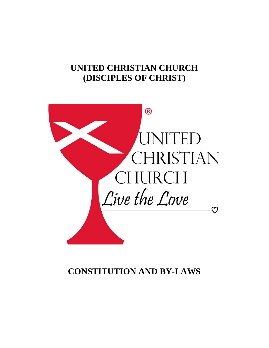# **UNITED CHRISTIAN CHURCH (DISCIPLES OF CHRIST)**



# **CONSTITUTION AND BY-LAWS**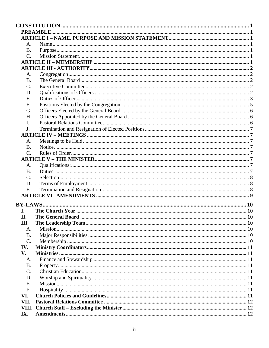| A.              |  |
|-----------------|--|
| B.              |  |
| $\mathcal{C}$ . |  |
|                 |  |
|                 |  |
| A.              |  |
| <b>B.</b>       |  |
| C.              |  |
| D.              |  |
| E.              |  |
| F.              |  |
| G.              |  |
| H.              |  |
|                 |  |
| I.              |  |
| J.              |  |
|                 |  |
| A.              |  |
| <b>B.</b>       |  |
| $\mathcal{C}$ . |  |
|                 |  |
| A.              |  |
| B.              |  |
| C.              |  |
| D.              |  |
| E.              |  |
|                 |  |
| BY-LAWS.        |  |
| I.              |  |
| II.             |  |
| Ш.              |  |
|                 |  |
| A.<br><b>B.</b> |  |
| $C$ .           |  |
|                 |  |
| IV.             |  |
| V.              |  |
| A.              |  |
| <b>B.</b>       |  |
| $\mathcal{C}$ . |  |
| D.              |  |
| E.              |  |
| F.              |  |
| VI.             |  |
| VII.            |  |
| VIII.           |  |
| IX.             |  |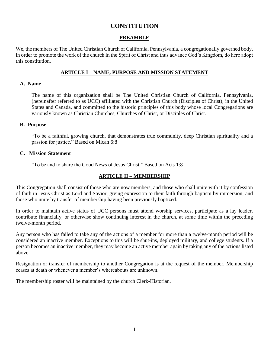# **CONSTITUTION**

# **PREAMBLE**

<span id="page-3-1"></span><span id="page-3-0"></span>We, the members of The United Christian Church of California, Pennsylvania, a congregationally governed body, in order to promote the work of the church in the Spirit of Christ and thus advance God's Kingdom, do here adopt this constitution.

## **ARTICLE I – NAME, PURPOSE AND MISSION STATEMENT**

#### <span id="page-3-3"></span><span id="page-3-2"></span>**A. Name**

The name of this organization shall be The United Christian Church of California, Pennsylvania, (hereinafter referred to as UCC) affiliated with the Christian Church (Disciples of Christ), in the United States and Canada, and committed to the historic principles of this body whose local Congregations are variously known as Christian Churches, Churches of Christ, or Disciples of Christ.

#### <span id="page-3-4"></span>**B. Purpose**

"To be a faithful, growing church, that demonstrates true community, deep Christian spirituality and a passion for justice." Based on Micah 6:8

#### <span id="page-3-5"></span>**C. Mission Statement**

"To be and to share the Good News of Jesus Christ." Based on Acts 1:8

# **ARTICLE II – MEMBERSHIP**

<span id="page-3-6"></span>This Congregation shall consist of those who are now members, and those who shall unite with it by confession of faith in Jesus Christ as Lord and Savior, giving expression to their faith through baptism by immersion, and those who unite by transfer of membership having been previously baptized.

In order to maintain active status of UCC persons must attend worship services, participate as a lay leader, contribute financially, or otherwise show continuing interest in the church, at some time within the preceding twelve-month period.

Any person who has failed to take any of the actions of a member for more than a twelve-month period will be considered an inactive member. Exceptions to this will be shut-ins, deployed military, and college students. If a person becomes an inactive member, they may become an active member again by taking any of the actions listed above.

Resignation or transfer of membership to another Congregation is at the request of the member. Membership ceases at death or whenever a member's whereabouts are unknown.

The membership roster will be maintained by the church Clerk-Historian.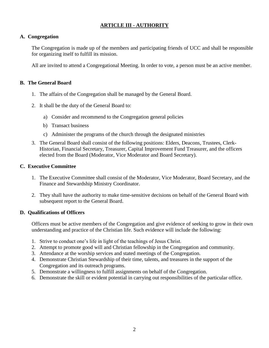# **ARTICLE III - AUTHORITY**

# <span id="page-4-1"></span><span id="page-4-0"></span>**A. Congregation**

The Congregation is made up of the members and participating friends of UCC and shall be responsible for organizing itself to fulfill its mission.

All are invited to attend a Congregational Meeting. In order to vote, a person must be an active member.

#### <span id="page-4-2"></span>**B. The General Board**

- 1. The affairs of the Congregation shall be managed by the General Board.
- 2. It shall be the duty of the General Board to:
	- a) Consider and recommend to the Congregation general policies
	- b) Transact business
	- c) Administer the programs of the church through the designated ministries
- 3. The General Board shall consist of the following positions: Elders, Deacons, Trustees, Clerk-Historian, Financial Secretary, Treasurer, Capital Improvement Fund Treasurer, and the officers elected from the Board (Moderator, Vice Moderator and Board Secretary).

## <span id="page-4-3"></span>**C. Executive Committee**

- 1. The Executive Committee shall consist of the Moderator, Vice Moderator, Board Secretary, and the Finance and Stewardship Ministry Coordinator.
- 2. They shall have the authority to make time-sensitive decisions on behalf of the General Board with subsequent report to the General Board.

#### <span id="page-4-4"></span>**D. Qualifications of Officers**

Officers must be active members of the Congregation and give evidence of seeking to grow in their own understanding and practice of the Christian life. Such evidence will include the following:

- 1. Strive to conduct one's life in light of the teachings of Jesus Christ.
- 2. Attempt to promote good will and Christian fellowship in the Congregation and community.
- 3. Attendance at the worship services and stated meetings of the Congregation.
- 4. Demonstrate Christian Stewardship of their time, talents, and treasures in the support of the Congregation and its outreach programs.
- 5. Demonstrate a willingness to fulfill assignments on behalf of the Congregation.
- 6. Demonstrate the skill or evident potential in carrying out responsibilities of the particular office.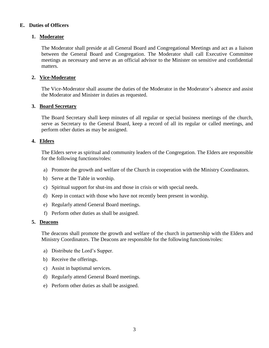## <span id="page-5-0"></span>**E. Duties of Officers**

## **1. Moderator**

The Moderator shall preside at all General Board and Congregational Meetings and act as a liaison between the General Board and Congregation. The Moderator shall call Executive Committee meetings as necessary and serve as an official advisor to the Minister on sensitive and confidential matters.

# **2. Vice-Moderator**

The Vice-Moderator shall assume the duties of the Moderator in the Moderator's absence and assist the Moderator and Minister in duties as requested.

#### **3. Board Secretary**

The Board Secretary shall keep minutes of all regular or special business meetings of the church, serve as Secretary to the General Board, keep a record of all its regular or called meetings, and perform other duties as may be assigned.

#### **4. Elders**

The Elders serve as spiritual and community leaders of the Congregation. The Elders are responsible for the following functions/roles:

- a) Promote the growth and welfare of the Church in cooperation with the Ministry Coordinators.
- b) Serve at the Table in worship.
- c) Spiritual support for shut-ins and those in crisis or with special needs.
- d) Keep in contact with those who have not recently been present in worship.
- e) Regularly attend General Board meetings.
- f) Perform other duties as shall be assigned.

#### **5. Deacons**

The deacons shall promote the growth and welfare of the church in partnership with the Elders and Ministry Coordinators. The Deacons are responsible for the following functions/roles:

- a) Distribute the Lord's Supper.
- b) Receive the offerings.
- c) Assist in baptismal services.
- d) Regularly attend General Board meetings.
- e) Perform other duties as shall be assigned.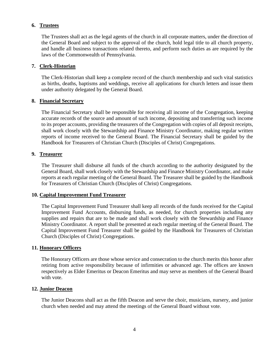## **6. Trustees**

The Trustees shall act as the legal agents of the church in all corporate matters, under the direction of the General Board and subject to the approval of the church, hold legal title to all church property, and handle all business transactions related thereto, and perform such duties as are required by the laws of the Commonwealth of Pennsylvania.

#### **7. Clerk-Historian**

The Clerk-Historian shall keep a complete record of the church membership and such vital statistics as births, deaths, baptisms and weddings, receive all applications for church letters and issue them under authority delegated by the General Board.

#### **8. Financial Secretary**

The Financial Secretary shall be responsible for receiving all income of the Congregation, keeping accurate records of the source and amount of such income, depositing and transferring such income to its proper accounts, providing the treasurers of the Congregation with copies of all deposit receipts, shall work closely with the Stewardship and Finance Ministry Coordinator, making regular written reports of income received to the General Board. The Financial Secretary shall be guided by the Handbook for Treasurers of Christian Church (Disciples of Christ) Congregations.

#### **9. Treasurer**

The Treasurer shall disburse all funds of the church according to the authority designated by the General Board, shall work closely with the Stewardship and Finance Ministry Coordinator, and make reports at each regular meeting of the General Board. The Treasurer shall be guided by the Handbook for Treasurers of Christian Church (Disciples of Christ) Congregations.

#### **10. Capital Improvement Fund Treasurer**

The Capital Improvement Fund Treasurer shall keep all records of the funds received for the Capital Improvement Fund Accounts, disbursing funds, as needed, for church properties including any supplies and repairs that are to be made and shall work closely with the Stewardship and Finance Ministry Coordinator. A report shall be presented at each regular meeting of the General Board. The Capital Improvement Fund Treasurer shall be guided by the Handbook for Treasurers of Christian Church (Disciples of Christ) Congregations.

#### **11. Honorary Officers**

The Honorary Officers are those whose service and consecration to the church merits this honor after retiring from active responsibility because of infirmities or advanced age. The offices are known respectively as Elder Emeritus or Deacon Emeritus and may serve as members of the General Board with vote.

#### **12. Junior Deacon**

The Junior Deacons shall act as the fifth Deacon and serve the choir, musicians, nursery, and junior church when needed and may attend the meetings of the General Board without vote.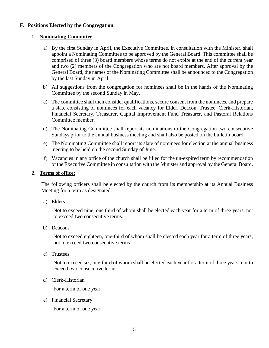# <span id="page-7-0"></span>**F. Positions Elected by the Congregation**

#### **1. Nominating Committee**

- a) By the first Sunday in April, the Executive Committee, in consultation with the Minister, shall appoint a Nominating Committee to be approved by the General Board. This committee shall be comprised of three (3) board members whose terms do not expire at the end of the current year and two (2) members of the Congregation who are not board members. After approval by the General Board, the names of the Nominating Committee shall be announced to the Congregation by the last Sunday in April.
- b) All suggestions from the congregation for nominees shall be in the hands of the Nominating Committee by the second Sunday in May.
- c) The committee shall then consider qualifications, secure consent from the nominees, and prepare a slate consisting of nominees for each vacancy for Elder, Deacon, Trustee, Clerk-Historian, Financial Secretary, Treasurer, Capital Improvement Fund Treasurer, and Pastoral Relations Committee member.
- d) The Nominating Committee shall report its nominations to the Congregation two consecutive Sundays prior to the annual business meeting and shall also be posted on the bulletin board.
- e) The Nominating Committee shall report its slate of nominees for election at the annual business meeting to be held on the second Sunday of June.
- f) Vacancies in any office of the church shall be filled for the un-expired term by recommendation of the Executive Committee in consultation with the Minister and approval by the General Board.

#### **2. Terms of office:**

The following officers shall be elected by the church from its membership at its Annual Business Meeting for a term as designated:

a) Elders

Not to exceed nine, one third of whom shall be elected each year for a term of three years, not to exceed two consecutive terms.

b) Deacons

Not to exceed eighteen, one-third of whom shall be elected each year for a term of three years, not to exceed two consecutive terms

c) Trustees

Not to exceed six, one-third of whom shall be elected each year for a term of three years, not to exceed two consecutive terms.

d) Clerk-Historian

For a term of one year.

e) Financial Secretary

For a term of one year.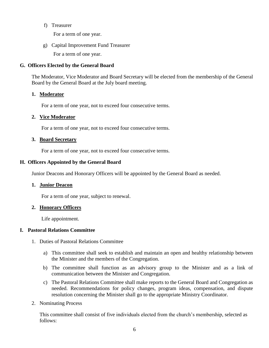f) Treasurer

For a term of one year.

g) Capital Improvement Fund Treasurer For a term of one year.

# <span id="page-8-0"></span>**G. Officers Elected by the General Board**

The Moderator, Vice Moderator and Board Secretary will be elected from the membership of the General Board by the General Board at the July board meeting.

#### **1. Moderator**

For a term of one year, not to exceed four consecutive terms.

#### **2. Vice Moderator**

For a term of one year, not to exceed four consecutive terms.

## **3. Board Secretary**

For a term of one year, not to exceed four consecutive terms.

## <span id="page-8-1"></span>**H. Officers Appointed by the General Board**

Junior Deacons and Honorary Officers will be appointed by the General Board as needed.

#### **1. Junior Deacon**

For a term of one year, subject to renewal.

#### **2. Honorary Officers**

Life appointment.

#### <span id="page-8-2"></span>**I. Pastoral Relations Committee**

- 1. Duties of Pastoral Relations Committee
	- a) This committee shall seek to establish and maintain an open and healthy relationship between the Minister and the members of the Congregation.
	- b) The committee shall function as an advisory group to the Minister and as a link of communication between the Minister and Congregation.
	- c) The Pastoral Relations Committee shall make reports to the General Board and Congregation as needed. Recommendations for policy changes, program ideas, compensation, and dispute resolution concerning the Minister shall go to the appropriate Ministry Coordinator.
- 2. Nominating Process

This committee shall consist of five individuals elected from the church's membership, selected as follows: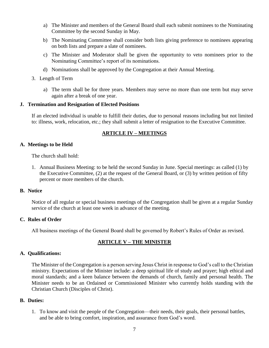- a) The Minister and members of the General Board shall each submit nominees to the Nominating Committee by the second Sunday in May.
- b) The Nominating Committee shall consider both lists giving preference to nominees appearing on both lists and prepare a slate of nominees.
- c) The Minister and Moderator shall be given the opportunity to veto nominees prior to the Nominating Committee's report of its nominations.
- d) Nominations shall be approved by the Congregation at their Annual Meeting.
- 3. Length of Term
	- a) The term shall be for three years. Members may serve no more than one term but may serve again after a break of one year.

#### <span id="page-9-0"></span>**J. Termination and Resignation of Elected Positions**

If an elected individual is unable to fulfill their duties, due to personal reasons including but not limited to: illness, work, relocation, etc.; they shall submit a letter of resignation to the Executive Committee.

# **ARTICLE IV – MEETINGS**

## <span id="page-9-2"></span><span id="page-9-1"></span>**A. Meetings to be Held**

The church shall hold:

1. Annual Business Meeting: to be held the second Sunday in June. Special meetings: as called (1) by the Executive Committee, (2) at the request of the General Board, or (3) by written petition of fifty percent or more members of the church.

#### <span id="page-9-3"></span>**B. Notice**

Notice of all regular or special business meetings of the Congregation shall be given at a regular Sunday service of the church at least one week in advance of the meeting.

#### <span id="page-9-4"></span>**C. Rules of Order**

All business meetings of the General Board shall be governed by Robert's Rules of Order as revised.

# **ARTICLE V – THE MINISTER**

#### <span id="page-9-6"></span><span id="page-9-5"></span>**A. Qualifications:**

The Minister of the Congregation is a person serving Jesus Christ in response to God's call to the Christian ministry. Expectations of the Minister include: a deep spiritual life of study and prayer; high ethical and moral standards; and a keen balance between the demands of church, family and personal health. The Minister needs to be an Ordained or Commissioned Minister who currently holds standing with the Christian Church (Disciples of Christ).

## <span id="page-9-7"></span>**B. Duties:**

1. To know and visit the people of the Congregation—their needs, their goals, their personal battles, and be able to bring comfort, inspiration, and assurance from God's word.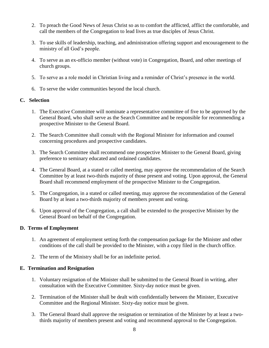- 2. To preach the Good News of Jesus Christ so as to comfort the afflicted, afflict the comfortable, and call the members of the Congregation to lead lives as true disciples of Jesus Christ.
- 3. To use skills of leadership, teaching, and administration offering support and encouragement to the ministry of all God's people.
- 4. To serve as an ex-officio member (without vote) in Congregation, Board, and other meetings of church groups.
- 5. To serve as a role model in Christian living and a reminder of Christ's presence in the world.
- 6. To serve the wider communities beyond the local church.

## <span id="page-10-0"></span>**C. Selection**

- 1. The Executive Committee will nominate a representative committee of five to be approved by the General Board, who shall serve as the Search Committee and be responsible for recommending a prospective Minister to the General Board.
- 2. The Search Committee shall consult with the Regional Minister for information and counsel concerning procedures and prospective candidates.
- 3. The Search Committee shall recommend one prospective Minister to the General Board, giving preference to seminary educated and ordained candidates.
- 4. The General Board, at a stated or called meeting, may approve the recommendation of the Search Committee by at least two-thirds majority of those present and voting. Upon approval, the General Board shall recommend employment of the prospective Minister to the Congregation.
- 5. The Congregation, in a stated or called meeting, may approve the recommendation of the General Board by at least a two-thirds majority of members present and voting.
- 6. Upon approval of the Congregation, a call shall be extended to the prospective Minister by the General Board on behalf of the Congregation.

#### <span id="page-10-1"></span>**D. Terms of Employment**

- 1. An agreement of employment setting forth the compensation package for the Minister and other conditions of the call shall be provided to the Minister, with a copy filed in the church office.
- 2. The term of the Ministry shall be for an indefinite period.

# <span id="page-10-2"></span>**E. Termination and Resignation**

- 1. Voluntary resignation of the Minister shall be submitted to the General Board in writing, after consultation with the Executive Committee. Sixty-day notice must be given.
- 2. Termination of the Minister shall be dealt with confidentially between the Minister, Executive Committee and the Regional Minister. Sixty-day notice must be given.
- 3. The General Board shall approve the resignation or termination of the Minister by at least a twothirds majority of members present and voting and recommend approval to the Congregation.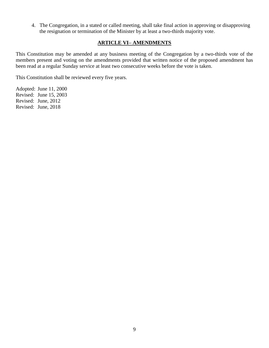4. The Congregation, in a stated or called meeting, shall take final action in approving or disapproving the resignation or termination of the Minister by at least a two-thirds majority vote.

# **ARTICLE VI– AMENDMENTS**

<span id="page-11-0"></span>This Constitution may be amended at any business meeting of the Congregation by a two-thirds vote of the members present and voting on the amendments provided that written notice of the proposed amendment has been read at a regular Sunday service at least two consecutive weeks before the vote is taken.

This Constitution shall be reviewed every five years.

Adopted: June 11, 2000 Revised: June 15, 2003 Revised: June, 2012 Revised: June, 2018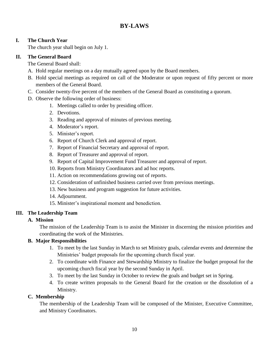# **BY-LAWS**

# <span id="page-12-1"></span><span id="page-12-0"></span>**I. The Church Year**

The church year shall begin on July 1.

# <span id="page-12-2"></span>**II. The General Board**

The General Board shall:

- A. Hold regular meetings on a day mutually agreed upon by the Board members.
- B. Hold special meetings as required on call of the Moderator or upon request of fifty percent or more members of the General Board.
- C. Consider twenty-five percent of the members of the General Board as constituting a quorum.
- D. Observe the following order of business:
	- 1. Meetings called to order by presiding officer.
	- 2. Devotions.
	- 3. Reading and approval of minutes of previous meeting.
	- 4. Moderator's report.
	- 5. Minister's report.
	- 6. Report of Church Clerk and approval of report.
	- 7. Report of Financial Secretary and approval of report.
	- 8. Report of Treasurer and approval of report.
	- 9. Report of Capital Improvement Fund Treasurer and approval of report.
	- 10. Reports from Ministry Coordinators and ad hoc reports.
	- 11. Action on recommendations growing out of reports.
	- 12. Consideration of unfinished business carried over from previous meetings.
	- 13. New business and program suggestion for future activities.
	- 14. Adjournment.
	- 15. Minister's inspirational moment and benediction.

# <span id="page-12-4"></span><span id="page-12-3"></span>**III. The Leadership Team**

# **A. Mission**

The mission of the Leadership Team is to assist the Minister in discerning the mission priorities and coordinating the work of the Ministries.

# <span id="page-12-5"></span>**B. Major Responsibilities**

- 1. To meet by the last Sunday in March to set Ministry goals, calendar events and determine the Ministries' budget proposals for the upcoming church fiscal year.
- 2. To coordinate with Finance and Stewardship Ministry to finalize the budget proposal for the upcoming church fiscal year by the second Sunday in April.
- 3. To meet by the last Sunday in October to review the goals and budget set in Spring.
- 4. To create written proposals to the General Board for the creation or the dissolution of a Ministry.

# <span id="page-12-6"></span>**C. Membership**

The membership of the Leadership Team will be composed of the Minister, Executive Committee, and Ministry Coordinators.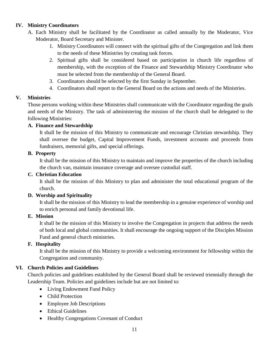# <span id="page-13-0"></span>**IV. Ministry Coordinators**

- A. Each Ministry shall be facilitated by the Coordinator as called annually by the Moderator, Vice Moderator, Board Secretary and Minister.
	- 1. Ministry Coordinators will connect with the spiritual gifts of the Congregation and link them to the needs of these Ministries by creating task forces.
	- 2. Spiritual gifts shall be considered based on participation in church life regardless of membership, with the exception of the Finance and Stewardship Ministry Coordinator who must be selected from the membership of the General Board.
	- 3. Coordinators should be selected by the first Sunday in September.
	- 4. Coordinators shall report to the General Board on the actions and needs of the Ministries.

# <span id="page-13-1"></span>**V. Ministries**

Those persons working within these Ministries shall communicate with the Coordinator regarding the goals and needs of the Ministry. The task of administering the mission of the church shall be delegated to the following Ministries:

# <span id="page-13-2"></span>**A. Finance and Stewardship**

It shall be the mission of this Ministry to communicate and encourage Christian stewardship. They shall oversee the budget, Capital Improvement Funds, investment accounts and proceeds from fundraisers, memorial gifts, and special offerings.

# <span id="page-13-3"></span>**B. Property**

It shall be the mission of this Ministry to maintain and improve the properties of the church including the church van, maintain insurance coverage and oversee custodial staff.

# <span id="page-13-4"></span>**C. Christian Education**

It shall be the mission of this Ministry to plan and administer the total educational program of the church.

# <span id="page-13-5"></span>**D. Worship and Spirituality**

It shall be the mission of this Ministry to lead the membership in a genuine experience of worship and to enrich personal and family devotional life.

# <span id="page-13-6"></span>**E. Mission**

It shall be the mission of this Ministry to involve the Congregation in projects that address the needs of both local and global communities. It shall encourage the ongoing support of the Disciples Mission Fund and general church ministries.

# <span id="page-13-7"></span>**F. Hospitality**

It shall be the mission of this Ministry to provide a welcoming environment for fellowship within the Congregation and community.

# <span id="page-13-8"></span>**VI. Church Policies and Guidelines**

Church policies and guidelines established by the General Board shall be reviewed triennially through the Leadership Team. Policies and guidelines include but are not limited to:

- Living Endowment Fund Policy
- Child Protection
- Employee Job Descriptions
- Ethical Guidelines
- Healthy Congregations Covenant of Conduct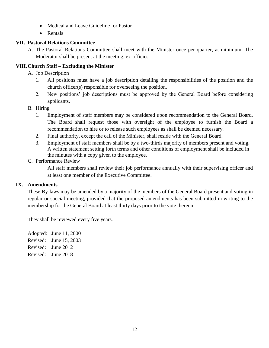- Medical and Leave Guideline for Pastor
- Rentals

# <span id="page-14-0"></span>**VII. Pastoral Relations Committee**

A. The Pastoral Relations Committee shall meet with the Minister once per quarter, at minimum. The Moderator shall be present at the meeting, ex-officio.

# <span id="page-14-1"></span>**VIII.Church Staff – Excluding the Minister**

- A. Job Description
	- 1. All positions must have a job description detailing the responsibilities of the position and the church officer(s) responsible for overseeing the position.
	- 2. New positions' job descriptions must be approved by the General Board before considering applicants.
- B. Hiring
	- 1. Employment of staff members may be considered upon recommendation to the General Board. The Board shall request those with oversight of the employee to furnish the Board a recommendation to hire or to release such employees as shall be deemed necessary.
	- 2. Final authority, except the call of the Minister, shall reside with the General Board.
	- 3. Employment of staff members shall be by a two-thirds majority of members present and voting. A written statement setting forth terms and other conditions of employment shall be included in the minutes with a copy given to the employee.

# C. Performance Review

All staff members shall review their job performance annually with their supervising officer and at least one member of the Executive Committee.

# <span id="page-14-2"></span>**IX. Amendments**

These By-laws may be amended by a majority of the members of the General Board present and voting in regular or special meeting, provided that the proposed amendments has been submitted in writing to the membership for the General Board at least thirty days prior to the vote thereon.

They shall be reviewed every five years.

Adopted: June 11, 2000 Revised: June 15, 2003 Revised: June 2012 Revised: June 2018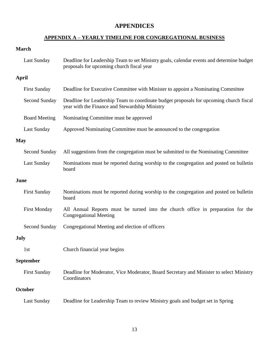# **APPENDICES**

# **APPENDIX A – YEARLY TIMELINE FOR CONGREGATIONAL BUSINESS**

# <span id="page-15-1"></span><span id="page-15-0"></span>**March**

| <b>Last Sunday</b>   | Deadline for Leadership Team to set Ministry goals, calendar events and determine budget<br>proposals for upcoming church fiscal year    |
|----------------------|------------------------------------------------------------------------------------------------------------------------------------------|
| April                |                                                                                                                                          |
| <b>First Sunday</b>  | Deadline for Executive Committee with Minister to appoint a Nominating Committee                                                         |
| Second Sunday        | Deadline for Leadership Team to coordinate budget proposals for upcoming church fiscal<br>year with the Finance and Stewardship Ministry |
| <b>Board Meeting</b> | Nominating Committee must be approved                                                                                                    |
| <b>Last Sunday</b>   | Approved Nominating Committee must be announced to the congregation                                                                      |
| <b>May</b>           |                                                                                                                                          |
| Second Sunday        | All suggestions from the congregation must be submitted to the Nominating Committee                                                      |
| <b>Last Sunday</b>   | Nominations must be reported during worship to the congregation and posted on bulletin<br>board                                          |
| June                 |                                                                                                                                          |
| <b>First Sunday</b>  | Nominations must be reported during worship to the congregation and posted on bulletin<br>board                                          |
| <b>First Monday</b>  | All Annual Reports must be turned into the church office in preparation for the<br><b>Congregational Meeting</b>                         |
| Second Sunday        | Congregational Meeting and election of officers                                                                                          |
| <b>July</b>          |                                                                                                                                          |
| 1st                  | Church financial year begins                                                                                                             |
| September            |                                                                                                                                          |
| <b>First Sunday</b>  | Deadline for Moderator, Vice Moderator, Board Secretary and Minister to select Ministry<br>Coordinators                                  |
| October              |                                                                                                                                          |
| <b>Last Sunday</b>   | Deadline for Leadership Team to review Ministry goals and budget set in Spring                                                           |